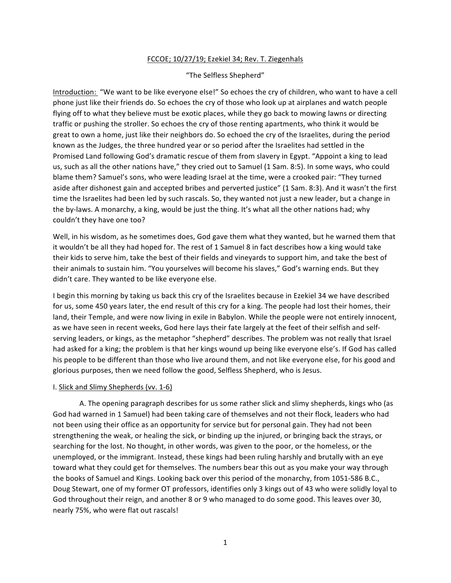# FCCOE; 10/27/19; Ezekiel 34; Rev. T. Ziegenhals

### "The Selfless Shepherd"

Introduction: "We want to be like everyone else!" So echoes the cry of children, who want to have a cell phone just like their friends do. So echoes the cry of those who look up at airplanes and watch people flying off to what they believe must be exotic places, while they go back to mowing lawns or directing traffic or pushing the stroller. So echoes the cry of those renting apartments, who think it would be great to own a home, just like their neighbors do. So echoed the cry of the Israelites, during the period known as the Judges, the three hundred year or so period after the Israelites had settled in the Promised Land following God's dramatic rescue of them from slavery in Egypt. "Appoint a king to lead us, such as all the other nations have," they cried out to Samuel (1 Sam. 8:5). In some ways, who could blame them? Samuel's sons, who were leading Israel at the time, were a crooked pair: "They turned aside after dishonest gain and accepted bribes and perverted justice" (1 Sam. 8:3). And it wasn't the first time the Israelites had been led by such rascals. So, they wanted not just a new leader, but a change in the by-laws. A monarchy, a king, would be just the thing. It's what all the other nations had; why couldn't they have one too?

Well, in his wisdom, as he sometimes does, God gave them what they wanted, but he warned them that it wouldn't be all they had hoped for. The rest of 1 Samuel 8 in fact describes how a king would take their kids to serve him, take the best of their fields and vineyards to support him, and take the best of their animals to sustain him. "You yourselves will become his slaves," God's warning ends. But they didn't care. They wanted to be like everyone else.

I begin this morning by taking us back this cry of the Israelites because in Ezekiel 34 we have described for us, some 450 years later, the end result of this cry for a king. The people had lost their homes, their land, their Temple, and were now living in exile in Babylon. While the people were not entirely innocent, as we have seen in recent weeks, God here lays their fate largely at the feet of their selfish and selfserving leaders, or kings, as the metaphor "shepherd" describes. The problem was not really that Israel had asked for a king; the problem is that her kings wound up being like everyone else's. If God has called his people to be different than those who live around them, and not like everyone else, for his good and glorious purposes, then we need follow the good, Selfless Shepherd, who is Jesus.

#### I. Slick and Slimy Shepherds (vv. 1-6)

A. The opening paragraph describes for us some rather slick and slimy shepherds, kings who (as God had warned in 1 Samuel) had been taking care of themselves and not their flock, leaders who had not been using their office as an opportunity for service but for personal gain. They had not been strengthening the weak, or healing the sick, or binding up the injured, or bringing back the strays, or searching for the lost. No thought, in other words, was given to the poor, or the homeless, or the unemployed, or the immigrant. Instead, these kings had been ruling harshly and brutally with an eye toward what they could get for themselves. The numbers bear this out as you make your way through the books of Samuel and Kings. Looking back over this period of the monarchy, from 1051-586 B.C., Doug Stewart, one of my former OT professors, identifies only 3 kings out of 43 who were solidly loyal to God throughout their reign, and another 8 or 9 who managed to do some good. This leaves over 30, nearly 75%, who were flat out rascals!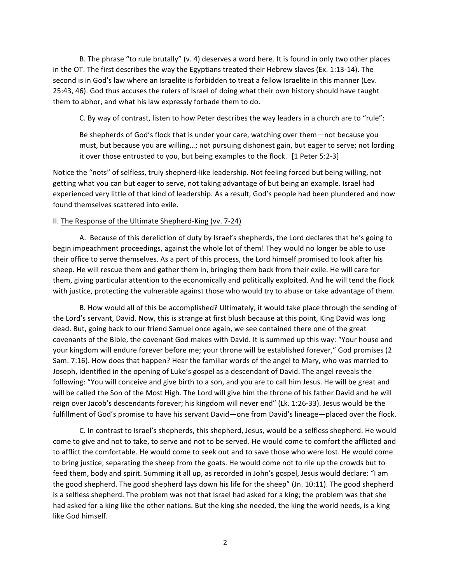B. The phrase "to rule brutally"  $(v. 4)$  deserves a word here. It is found in only two other places in the OT. The first describes the way the Egyptians treated their Hebrew slaves (Ex. 1:13-14). The second is in God's law where an Israelite is forbidden to treat a fellow Israelite in this manner (Lev. 25:43, 46). God thus accuses the rulers of Israel of doing what their own history should have taught them to abhor, and what his law expressly forbade them to do.

C. By way of contrast, listen to how Peter describes the way leaders in a church are to "rule":

Be shepherds of God's flock that is under your care, watching over them—not because you must, but because you are willing...; not pursuing dishonest gain, but eager to serve; not lording it over those entrusted to you, but being examples to the flock. [1 Peter 5:2-3]

Notice the "nots" of selfless, truly shepherd-like leadership. Not feeling forced but being willing, not getting what you can but eager to serve, not taking advantage of but being an example. Israel had experienced very little of that kind of leadership. As a result, God's people had been plundered and now found themselves scattered into exile.

#### II. The Response of the Ultimate Shepherd-King (vv. 7-24)

A. Because of this dereliction of duty by Israel's shepherds, the Lord declares that he's going to begin impeachment proceedings, against the whole lot of them! They would no longer be able to use their office to serve themselves. As a part of this process, the Lord himself promised to look after his sheep. He will rescue them and gather them in, bringing them back from their exile. He will care for them, giving particular attention to the economically and politically exploited. And he will tend the flock with justice, protecting the vulnerable against those who would try to abuse or take advantage of them.

B. How would all of this be accomplished? Ultimately, it would take place through the sending of the Lord's servant, David. Now, this is strange at first blush because at this point, King David was long dead. But, going back to our friend Samuel once again, we see contained there one of the great covenants of the Bible, the covenant God makes with David. It is summed up this way: "Your house and your kingdom will endure forever before me; your throne will be established forever," God promises (2 Sam. 7:16). How does that happen? Hear the familiar words of the angel to Mary, who was married to Joseph, identified in the opening of Luke's gospel as a descendant of David. The angel reveals the following: "You will conceive and give birth to a son, and you are to call him Jesus. He will be great and will be called the Son of the Most High. The Lord will give him the throne of his father David and he will reign over Jacob's descendants forever; his kingdom will never end" (Lk. 1:26-33). Jesus would be the fulfillment of God's promise to have his servant David—one from David's lineage—placed over the flock.

C. In contrast to Israel's shepherds, this shepherd, Jesus, would be a selfless shepherd. He would come to give and not to take, to serve and not to be served. He would come to comfort the afflicted and to afflict the comfortable. He would come to seek out and to save those who were lost. He would come to bring justice, separating the sheep from the goats. He would come not to rile up the crowds but to feed them, body and spirit. Summing it all up, as recorded in John's gospel, Jesus would declare: "I am the good shepherd. The good shepherd lays down his life for the sheep" (Jn. 10:11). The good shepherd is a selfless shepherd. The problem was not that Israel had asked for a king; the problem was that she had asked for a king like the other nations. But the king she needed, the king the world needs, is a king like God himself.